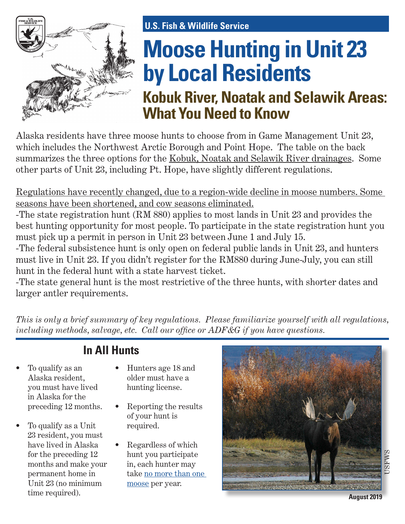

# **Moose Hunting in Unit 23 by Local Residents U.S. Fish & Wildlife Service**

# **Kobuk River, Noatak and Selawik Areas: What You Need to Know**

Alaska residents have three moose hunts to choose from in Game Management Unit 23, which includes the Northwest Arctic Borough and Point Hope. The table on the back summarizes the three options for the Kobuk, Noatak and Selawik River drainages. Some other parts of Unit 23, including Pt. Hope, have slightly different regulations.

Regulations have recently changed, due to a region-wide decline in moose numbers. Some seasons have been shortened, and cow seasons eliminated.

-The state registration hunt (RM 880) applies to most lands in Unit 23 and provides the best hunting opportunity for most people. To participate in the state registration hunt you must pick up a permit in person in Unit 23 between June 1 and July 15.

-The federal subsistence hunt is only open on federal public lands in Unit 23, and hunters must live in Unit 23. If you didn't register for the RM880 during June-July, you can still hunt in the federal hunt with a state harvest ticket.

-The state general hunt is the most restrictive of the three hunts, with shorter dates and larger antler requirements.

*This is only a brief summary of key regulations. Please familiarize yourself with all regulations, including methods, salvage, etc. Call our office or ADF&G if you have questions.*

#### • To qualify as an Alaska resident, you must have lived in Alaska for the preceding 12 months.

• To qualify as a Unit 23 resident, you must have lived in Alaska for the preceding 12 months and make your permanent home in Unit 23 (no minimum time required).

## **In All Hunts**

- Hunters age 18 and older must have a hunting license.
- Reporting the results of your hunt is required.
- Regardless of which hunt you participate in, each hunter may take no more than one moose per year.



**August 2019**